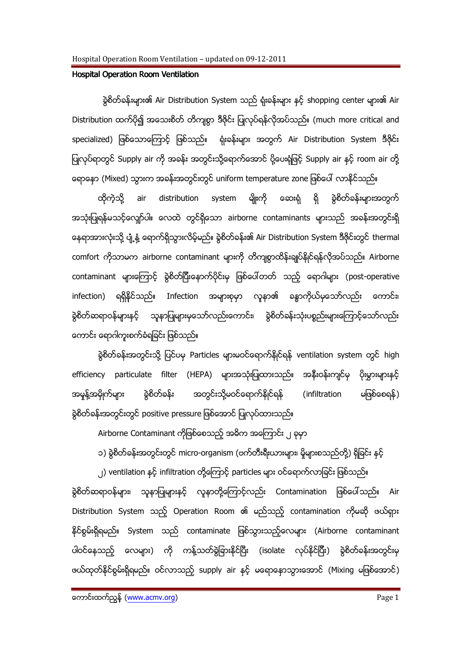## **Hospital Operation Room Ventilation**

စွဲစိတ်ခန်းများ၏ Air Distribution System သည် ရုံးခန်းများ နှင့် shopping center များ၏ Air Distribution ထက်ပို၍ အသေးစိတ် တိကျစွာ ဒီဇိုင်း ပြုလုပ်ရန်လိုအပ်သည်။ (much more critical and specialized) ဖြစ်သောကြောင့် ဖြစ်သည်။ ရုံးခန်းများ အတွက် Air Distribution System ဒီဇိုင်း ပြုလုပ်ရာတွင် Supply air ကို အခန်း အတွင်းသို့ရောက်အောင် ပို့ပေးရုံဖြင့် Supply air နှင့် room air တို့ ရောနော (Mixed) သွားက အခန်းအတွင်းတွင် uniform temperature zone ဖြစ်ပေါ် လာနိုင်သည်။

distribution system မျိုးကို ဆေးရုံ ရှိ ခွဲစိတ်ခန်းများအတွက် ထိုကဲ့သို့ air အသုံးပြုရန်မသင့်လျှော်ပါ။ လေထဲ တွင်ရှိသော airborne contaminants များသည် အခန်းအတွင်းရှိ နေရာအားလုံးသို့ ပျံ့နှံ့ ရောက်ရှိသွားလိမ့်မည်။ နွဲစိတ်ခန်း၏ Air Distribution System ဒီဇိုင်းတွင် thermal comfort ကိုသာမက airborne contaminant များကို တိကျစွာထိန်းချုပ်နိုုင်ရန်လိုအပ်သည်။ Airborne contaminant များကြောင့် စွဲစိတ်ပြီးနောက်ပိုင်းမှ ဖြစ်ပေါ်တတ် သည့် ရောဂါများ (post-operative infection) ရရှိနိုင်သည်။ Infection အများစုမှာ လူနာ၏ ခန္ဓာကိုယ်မှသော်လည်း ကောင်း၊ ခွဲစိတ်ဆရာဝန်များနှင့် သူနာပြုများမှသော်လည်းကောင်း၊ ခွဲစိတ်ခန်းသုံးပစ္စည်းများကြောင့်သော်လည်း ကောင်း ရောဂါကူးစက်ခံရခြင်း ဖြစ်သည်။

ခွဲစိတ်ခန်းအတွင်းသို့ ပြင်ပမှ Particles များမဝင်ရောက်နိုုင်ရန် ventilation system တွင် high efficiency particulate filter (HEPA) များအသုံးပြုထားသည်။ အနီးဝန်းကျင်မှ ပိုးမွှားများနှင့် <u> ခွဲ</u>စိတ်ခန်း အမှုန့်အမိုုက်များ အတွင်းသို့မဝင်ရောက်နိုုင်ရန် (infiltration မဖြစ်စေရန်) စွဲစိတ်ခန်းအတွင်းတွင် positive pressure ဖြစ်အောင် ပြုလုပ်ထားသည်။

Airborne Contaminant ကိုဖြစ်စေသည့် အဓိက အကြောင်း ၂ ခုမှာ

၁) နဲ့စိတ်ခန်းအတွင်းတွင် micro-organism (ဗက်တီးရီးယားများ၊ မှိုများစသည်တို့) ရှိခြင်း နှင့်

၂) ventilation နှင့် infiltration တို့ကြောင့် particles များ ဝင်ရောက်လာခြင်း ဖြစ်သည်။ ခွဲစိတ်ဆရာဝန်များ၊ သူနာပြုများနှင့် လူနာတို့ကြောင့်လည်း Contamination ဖြစ်ပေါ်သည်။ Air Distribution System သည့် Operation Room ၏ မည်သည့် contamination ကိုမဆို ဖယ်ရှား နိုင်စွမ်းရှိရမည်။ System သည် contaminate ဖြစ်သွားသည့်လေများ (Airborne contaminant ပါဝင်နေသည့် လေများ) ကို ကန့်သတ်ခွဲခြားနိုင်ပြီး (isolate လုပ်နိုင်ပြီး) ခွဲစိတ်ခန်းအတွင်းမှ ဖယ်ထုတ်နိုင်စွမ်းရှိရမည်။ ဝင်လာသည့် supply air နှင့် မရောနောသွားအောင် (Mixing မဖြစ်အောင်)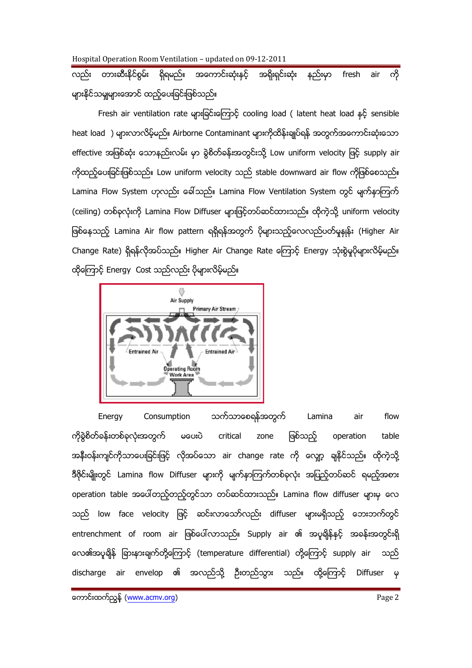လည်း တားဆီးနိုင်စွမ်း ရှိရမည်။ အကောင်းဆုံးနှင့် အရိုးရှင်းဆုံး နည်းမှာ fresh air ကို များနိုင်သမှုုများအောင် ထည့်ပေးခြင်းဖြစ်သည်။

Fresh air ventilation rate များခြင်းကြောင့် cooling load ( latent heat load နင့် sensible heat load )များလာလိမ့်မည်။ Airborne Contaminant များကိုထိန်းချုပ်ရန် အတွက်အကောင်းဆုံးသော effective အဖြစ်ဆုံး သောနည်းလမ်း မှာ စွဲစိတ်ခန်းအတွင်းသို့ Low uniform velocity ဖြင့် supply air ကိုထည့်ပေးခြင်းဖြစ်သည်။ Low uniform velocity သည် stable downward air flow ကိုဖြစ်စေသည်။ Lamina Flow System ဟုလည်း ခေါ်သည်။ Lamina Flow Ventilation System တွင် မျက်နှာကြက် (ceiling) တစ်ခုလုံးကို Lamina Flow Diffuser များဖြင့်တပ်ဆင်ထားသည်။ ထိုကဲ့သို့ uniform velocity ဖြစ်နေသည့် Lamina Air flow pattern ရရှိရန်အတွက် ပိုများသည့်လေလည်ပတ်မှုနှုန်း (Higher Air  $\,$ Change Rate) ရှိရန်လိုအပ်သည်။ Higher Air Change Rate ကြောင့် Energy သုံးစွဲမှုပိုများလိမ့်မည်။ ထိုကြောင့် Energy Cost သည်လည်း ပိုများလိမ့်မည်။



Energy Consumption သာစေရန်အတွက် Lamina air flow ကိုရိုစိတ်ခန်းတစ်ခုလုံးအတွက် မပေးပဲ critical zone ဖြစ်သည့် operation table အနီးဝန်းကျင်ကိုသာပေးရြင်းဖြင့် လိုအပ်သော air change rate ကို လျော့ ရှုနိုင်သည်။ ထိုကဲ့သို့ ဒီဇိုင်းမျိုးတွင် Lamina flow Diffuser များကို မျက်နာကြက်တစ်ခုလုံး အပြည့်တပ်ဆင် ရမည့်အစား operation table အပေါ်တည့်တည့်တွင်သာ တပ်ဆင်ထားသည်။ Lamina flow diffuser များမှ လေ သည် low face velocity ဖြင့် ဆင်းလာသော်လည်း diffuser များမရှိသည့် ဘေးဘက်တွင် entrenchment of room air ဖြစ်ပေါ်လာသည်။ Supply air ၏ အပူရှိန်နှင့် အခန်းအတွင်းရှိ လေ၏အပူရှိန် ခြားနားချက်တို့ကြောင့် (temperature differential) တို့ကြောင့် supply air သည် discharge air envelop ၏ အလည်သို့ ဦးတည်သွား သည်။ ထို့ကြောင့် Diffuser φ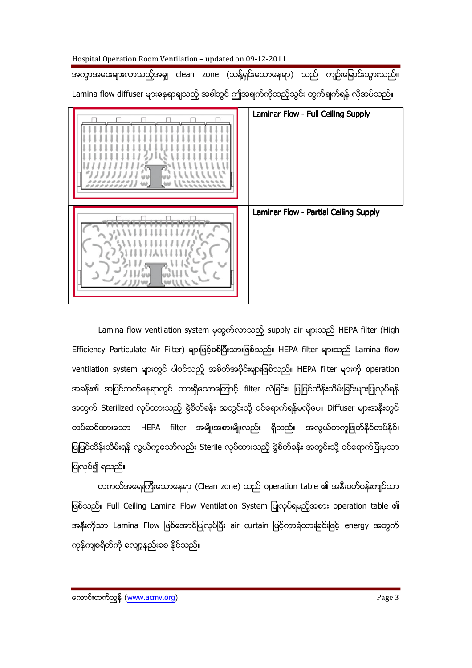Hospital Operation Room Ventilation - updated on 09-12-2011

အကွာအဝေးများလာသည့်အမှုု clean zone (သန့်ရှင်းသောနေရာ) သည် ကျဉ်းမြောင်းသွားသည်။ Lamina flow diffuser များနေရာရျသည့် အခါတွင် ဤအချက်ကိုထည့်သွင်း တွက်ချက်ရန် လိုအပ်သည်။



Lamina flow ventilation system မှထွက်လာသည့် supply air များသည် HEPA filter (High Efficiency Particulate Air Filter) များဖြင့်စစ်ပြီးသားဖြစ်သည်။ HEPA filter များသည် Lamina flow ventilation system များတွင် ပါဝင်သည့် အစိတ်အပိုင်းများဖြစ်သည်။ HEPA filter များကို operation အခန်း၏ အပြင်ဘက်နေရာတွင် ထားရှိသောကြောင့် filter လဲခြင်း၊ ပြုပြင်ထိန်းသိမ်းခြင်းများပြုလုပ်ရန် . အတွက် Sterilized လုပ်ထားသည့် စွဲစိတ်ခန်း အတွင်းသို့ ဝင်ရောက်ရန်မလိုပေ။ Diffuser များအနီးတွင် တပ်ဆင်ထားသော HEPA filter အမျိုးအစားမျိုးလည်း ရှိသည်။ အလွယ်တကူဖြတ်နိုင်တပ်နိုင်၊ ပြုပြင်ထိန်းသိမ်းရန် လွယ်ကူသော်လည်း Sterile လုပ်ထားသည့် စွဲစိတ်ခန်း အတွင်းသို့ ဝင်ရောက်ပြီးမှသာ ပြုလုပ်၍ ရသည်။

တကယ်အရေးကြီးသောနေရာ (Clean zone) သည် operation table ၏ အနီးပတ်ဝန်းကျင်သာ ဖြစ်သည်။ Full Ceiling Lamina Flow Ventilation System ပြုလုပ်ရမည့်အစား operation table ၏ အနီးကိုသာ Lamina Flow ဖြစ်အောင်ပြုလုပ်ပြီး air curtain ဖြင့်ကာရံထားခြင်းဖြင့် energy အတွက် ကုန်ကျစရိတ်ကို လျော့နည်းစေ နိုင်သည်။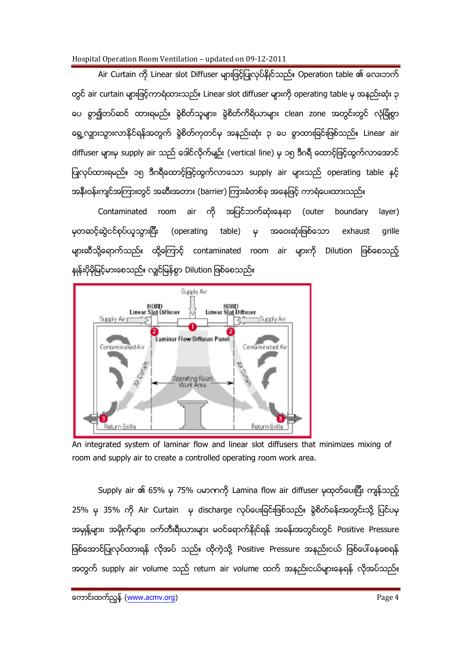Air Curtain ကို Linear slot Diffuser များဖြင့်ပြုလုပ်နိုုင်သည်။ Operation table ၏ လေးဘက် တွင် air curtain များဖြင့်ကာရံထားသည်။ Linear slot diffuser များကို operating table မှ အနည်းဆုံး ၃ 8 # 9'8K 2(A# \$%&'1 Q()T# \$%&'-&2&S() C :' ' @4>3#3?% ရွေ့လျားသွားလာနိုင်ရန်အတွက် စွဲစိတ်ကုတင်မှ အနည်းဆုံး ၃ ပေ စွာထားခြင်းဖြစ်သည်။ Linear air diffuser များမှ supply air သည် ဒေါင်လိုက်မျဉ်း (vertical line) မှ ၁၅ ဒီဂရီ ထောင့်ဖြင့်ထွက်လာအောင် ပြုလုပ်ထားရမည်။ ၁၅ ဒီဂရီထောင့်ဖြင့်ထွက်လာသော supply air များသည် operating table နှင့် အနီးဝန်းကျင်အကြားတွင် အဆီးအတား (barrier) ကြားခံတစ်ခု အနေဖြင့် ကာရံပေးထားသည်။

Contaminated room air ကို အပြင်ဘက်ဆုံးနေရာ (outer boundary layer) မှတဆင့်ဆွဲငင်စုပ်ယူသွားပြီး (operating table) မှ အဝေးဆုံးဖြစ်သော exhaust grille များဆီသို့ရောက်သည်။ ထို့ကြောင့် contaminated room air များကို Dilution ဖြစ်စေသည့် နှုန်းပိုမိုမြင့်မားစေသည်။ လျင်မြန်စွာ Dilution ဖြစ်စေသည်။



An integrated system of laminar flow and linear slot diffusers that minimizes mixing of room and supply air to create a controlled operating room work area.

Supply air ၏ 65% မှ 75% ပမာဏကို Lamina flow air diffuser မှထုတ်ပေးပြီး ကျန်သည့် 25% မှ 35% ကို Air Curtain မှ discharge လုပ်ပေးရြင်းဖြစ်သည်။ စွဲစိတ်ခန်းအတွင်းသို့ ပြင်ပမှ အမှုန့်များ၊ အမိုုက်များ၊ ဗက်တီးရီးယားများ မဝင်ရောက်နိုုင်ရန် အခန်းအတွင်းတွင် Positive Pressure ဖြစ်အောင်ပြုလုပ်ထားရန် လိုအပ် သည်။ ထိုကဲ့သို့ Positive Pressure အနည်းငယ် ဖြစ်ပေါ်နေစေရန် အတွက် supply air volume သည် return air volume ထက် အနည်းငယ်များနေရန် လိုအပ်သည်။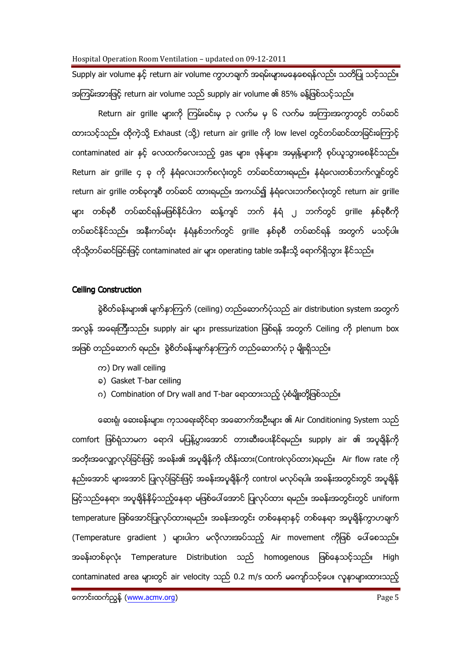Supply air volume နှင့် return air volume ကွာဟချက် အရမ်းများမနေစေရန်လည်း သတိပြု သင့်သည်။ အကြမ်းအားဖြင့် return air volume သည် supply air volume ၏ 85% ခန့်ဖြစ်သင့်သည်။

Return air grille များကို ကြမ်းခင်းမှ ၃ လက်မ မှ ၆ လက်မ အကြားအကွာတွင် တပ်ဆင် ထားသင့်သည်။ ထိုကဲ့သို့ Exhaust (သို့) return air grille ကို low level တွင်တပ်ဆင်ထာခြင်းကြောင့် contaminated air နှင့် လေထက်လေးသည့် gas များ၊ ဖှန်များ၊ အမှုန့်များကို စုပ်ယူသွားစေနိုင်သည်။ Return air grille ၄ ခု ကို နှံရံလေးဘက်စလုံးတွင် တပ်ဆင်ထားရမည်။ နှံရံလေးတစ်ဘက်လျှင်တွင် return air grille တစ်ခုကျစီ တပ်ဆင် ထားရမည်။ အကယ်၍ နံရံလေးဘက်စလုံးတွင် return air grille များ တစ်ခုစီ တပ်ဆင်ရန်မဖြစ်နိုင်ပါက ဆန့်ကျင် ဘက် နံရံ ၂ ဘက်တွင် grille နှစ်ခုစီကို တပ်ဆင်နိုင်သည်။ အနီးကပ်ဆုံး နံရံနစ်ဘက်တွင် grille နစ်ခုစီ တပ်ဆင်ရန် အတွက် မသင့်ပါ။ ထိုသို့တပ်ဆင်ခြင်းဖြင့် contaminated air များ operating table အနီးသို့ ရောက်ရှိသွား နိုင်သည်။

## Ceiling Construction

နွဲစိတ်ခန်းများ၏ မျက်နှာကြက် (ceiling) တည်ဆောက်ပုံသည် air distribution system အတွက် အလွန် အရေးကြီးသည်။ supply air များ pressurization ဖြစ်ရန် အတွက် Ceiling ကို plenum box အဖြစ် တည်ဆောက် ရမည်။ ခွဲစိတ်ခန်းမျက်နာကြက် တည်ဆောက်ပုံ ၃ မျိုးရှိသည်။

- က) Dry wall ceiling
- a) Gasket T-bar ceiling
- ဂ) Combination of Dry wall and T-bar ရောထားသည့် ပုံစံမျိုးတို့ဖြစ်သည်။

ဆေးရုံ၊ ဆေးခန်းများ၊ ကုသရေးဆိုင်ရာ အဆောက်အဦးများ ၏ Air Conditioning System သည် ' comfort ဖြစ်ရုံသာမက ရောဂါ မပြန့်ပွားအောင် တားဆီးပေးနိုင်ရမည်။ supply air ၏ အပူချိန်ကို အတိုးအလျော့လုပ်ခြင်းဖြင့် အခန်း၏ အပူချိန်ကို ထိန်းထား(Controlလုပ်ထား)ရမည်။ Air flow rate ကို နည်းအောင် များအောင် ပြုလုပ်ခြင်းဖြင့် အခန်းအပူချိန်ကို control မလုပ်ရပါ။ အခန်းအတွင်းတွင် အပူချိန် မြင့်သည်နေရာ၊ အပူရျန်နိမ့်သည့်နေရာ မဖြစ်ပေါ်အောင် ပြုလုပ်ထား ရမည်။ အခန်းအတွင်းတွင် uniform temperature ဖြစ်အောင်ပြုလုပ်ထားရမည်။ အခန်းအတွင်း တစ်နေရာနှင့် တစ်နေရာ အပူရိုန်ကွာဟချက် (Temperature gradient ) များပါက မလိုလားအပ်သည့် Air movement ကိုဖြစ် ပေါ်စေသည်။ အခန်းတစ်ခုလုံး Temperature Distribution သည် homogenous ဖြစ်နေသင့်သည်။ High contaminated area များတွင် air velocity သည် 0.2 m/s ထက် မကျော်သင့်ပေ။ လူနာများထားသည့်